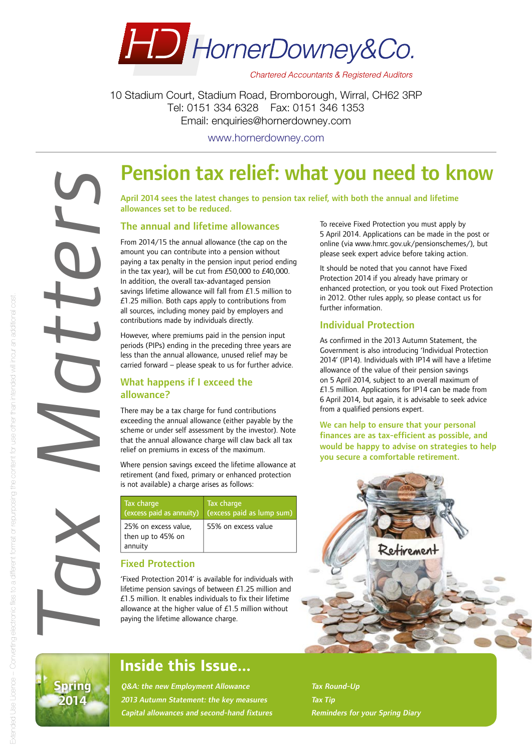

**Chartered Accountants & Registered Auditors** 

10 Stadium Court, Stadium Road, Bromborough, Wirral, CH62 3RP Tel: 0151 334 6328 Fax: 0151 346 1353 Email: enquiries@hornerdowney.com

www.hornerdowney.com

## Pension tax relief: what you need to know

April 2014 sees the latest changes to pension tax relief, with both the annual and lifetime allowances set to be reduced.

#### The annual and lifetime allowances

From 2014/15 the annual allowance (the cap on the amount you can contribute into a pension without paying a tax penalty in the pension input period ending in the tax year), will be cut from £50,000 to £40,000. In addition, the overall tax-advantaged pension savings lifetime allowance will fall from £1.5 million to  $£1.25$  million. Both caps apply to contributions from all sources, including money paid by employers and contributions made by individuals directly.

However, where premiums paid in the pension input periods (PIPs) ending in the preceding three years are less than the annual allowance, unused relief may be carried forward – please speak to us for further advice.

#### What happens if I exceed the allowance?

There may be a tax charge for fund contributions exceeding the annual allowance (either payable by the scheme or under self assessment by the investor). Note that the annual allowance charge will claw back all tax relief on premiums in excess of the maximum.

Where pension savings exceed the lifetime allowance at retirement (and fixed, primary or enhanced protection is not available) a charge arises as follows:

| Tax charge<br>(excess paid as annuity)               | Tax charge<br>(excess paid as lump sum) |
|------------------------------------------------------|-----------------------------------------|
| 25% on excess value,<br>then up to 45% on<br>annuity | 55% on excess value                     |

#### Fixed Protection

'Fixed Protection 2014' is available for individuals with lifetime pension savings of between £1.25 million and  $£1.5$  million. It enables individuals to fix their lifetime allowance at the higher value of £1.5 million without paying the lifetime allowance charge.

To receive Fixed Protection you must apply by 5 April 2014. Applications can be made in the post or online (via www.hmrc.gov.uk/pensionschemes/), but please seek expert advice before taking action.

It should be noted that you cannot have Fixed Protection 2014 if you already have primary or enhanced protection, or you took out Fixed Protection in 2012. Other rules apply, so please contact us for further information.

#### Individual Protection

As confirmed in the 2013 Autumn Statement, the Government is also introducing 'Individual Protection 2014' (IP14). Individuals with IP14 will have a lifetime allowance of the value of their pension savings on 5 April 2014, subject to an overall maximum of £1.5 million. Applications for IP14 can be made from 6 April 2014, but again, it is advisable to seek advice from a qualified pensions expert.

We can help to ensure that your personal finances are as tax-efficient as possible, and would be happy to advise on strategies to help you secure a comfortable retirement.





*Tax Matters*

### Inside this Issue...

Q&A: the new Employment Allowance 2013 Autumn Statement: the key measures Capital allowances and second-hand fixtures

Tax Round-Up Tax Tip Reminders for your Spring Diary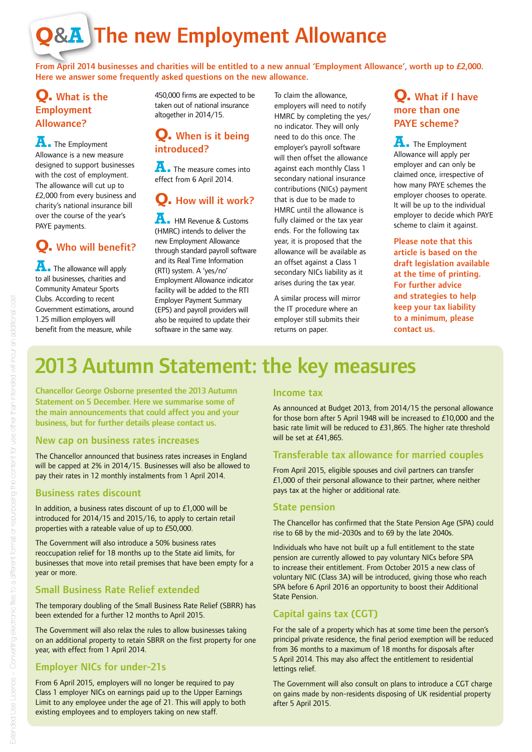# **Q**&**A** The new Employment Allowance

From April 2014 businesses and charities will be entitled to a new annual 'Employment Allowance', worth up to £2,000. Here we answer some frequently asked questions on the new allowance.

#### **Q.** What is the Employment Allowance?

**A.** The Employment Allowance is a new measure designed to support businesses with the cost of employment. The allowance will cut up to £2,000 from every business and charity's national insurance bill over the course of the year's PAYE payments.

### **Q.** Who will benefit?

**A.** The allowance will apply to all businesses, charities and Community Amateur Sports Clubs. According to recent Government estimations, around 1.25 million employers will benefit from the measure, while

450,000 firms are expected to be taken out of national insurance altogether in 2014/15.

#### **Q.** When is it being introduced?

**A.** The measure comes into effect from 6 April 2014.

### **Q.** How will it work?

**A.** HM Revenue & Customs (HMRC) intends to deliver the new Employment Allowance through standard payroll software and its Real Time Information (RTI) system. A 'yes/no' Employment Allowance indicator facility will be added to the RTI Employer Payment Summary (EPS) and payroll providers will also be required to update their software in the same way.

To claim the allowance, employers will need to notify HMRC by completing the yes/ no indicator. They will only need to do this once. The employer's payroll software will then offset the allowance against each monthly Class 1 secondary national insurance contributions (NICs) payment that is due to be made to HMRC until the allowance is fully claimed or the tax year ends. For the following tax year, it is proposed that the allowance will be available as an offset against a Class 1 secondary NICs liability as it arises during the tax year.

A similar process will mirror the IT procedure where an employer still submits their returns on paper.

#### **Q.** What if I have more than one PAYE scheme?

**A.** The Employment Allowance will apply per employer and can only be claimed once, irrespective of how many PAYE schemes the employer chooses to operate. It will be up to the individual employer to decide which PAYE scheme to claim it against.

Please note that this article is based on the draft legislation available at the time of printing. For further advice and strategies to help keep your tax liability to a minimum, please contact us.

### 2013 Autumn Statement: the key measures

Chancellor George Osborne presented the 2013 Autumn Statement on 5 December. Here we summarise some of the main announcements that could affect you and your business, but for further details please contact us.

#### New cap on business rates increases

The Chancellor announced that business rates increases in England will be capped at 2% in 2014/15. Businesses will also be allowed to pay their rates in 12 monthly instalments from 1 April 2014.

#### Business rates discount

In addition, a business rates discount of up to £1,000 will be introduced for 2014/15 and 2015/16, to apply to certain retail properties with a rateable value of up to £50,000.

The Government will also introduce a 50% business rates reoccupation relief for 18 months up to the State aid limits, for businesses that move into retail premises that have been empty for a year or more.

#### Small Business Rate Relief extended

The temporary doubling of the Small Business Rate Relief (SBRR) has been extended for a further 12 months to April 2015.

The Government will also relax the rules to allow businesses taking on an additional property to retain SBRR on the first property for one year, with effect from 1 April 2014.

#### Employer NICs for under-21s

From 6 April 2015, employers will no longer be required to pay Class 1 employer NICs on earnings paid up to the Upper Earnings Limit to any employee under the age of 21. This will apply to both existing employees and to employers taking on new staff.

#### Income tax

As announced at Budget 2013, from 2014/15 the personal allowance for those born after 5 April 1948 will be increased to £10,000 and the basic rate limit will be reduced to £31,865. The higher rate threshold will be set at £41,865.

#### Transferable tax allowance for married couples

From April 2015, eligible spouses and civil partners can transfer £1,000 of their personal allowance to their partner, where neither pays tax at the higher or additional rate.

#### State pension

The Chancellor has confirmed that the State Pension Age (SPA) could rise to 68 by the mid-2030s and to 69 by the late 2040s.

Individuals who have not built up a full entitlement to the state pension are currently allowed to pay voluntary NICs before SPA to increase their entitlement. From October 2015 a new class of voluntary NIC (Class 3A) will be introduced, giving those who reach SPA before 6 April 2016 an opportunity to boost their Additional State Pension.

#### Capital gains tax (CGT)

For the sale of a property which has at some time been the person's principal private residence, the final period exemption will be reduced from 36 months to a maximum of 18 months for disposals after 5 April 2014. This may also affect the entitlement to residential lettings relief.

The Government will also consult on plans to introduce a CGT charge on gains made by non-residents disposing of UK residential property after 5 April 2015.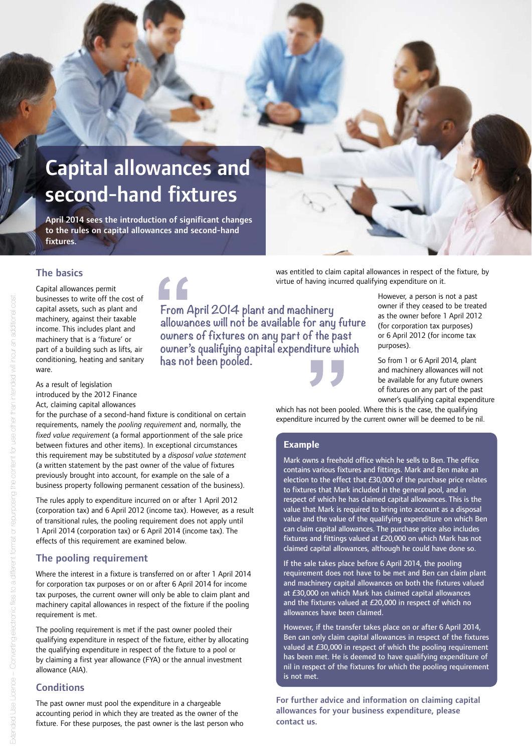## Capital allowances and second-hand fixtures

April 2014 sees the introduction of significant changes to the rules on capital allowances and second-hand fixtures.

 $\epsilon$ 

#### The basics

Capital allowances permit businesses to write off the cost of capital assets, such as plant and machinery, against their taxable income. This includes plant and machinery that is a 'fixture' or part of a building such as lifts, air conditioning, heating and sanitary ware.

As a result of legislation introduced by the 2012 Finance Act, claiming capital allowances

for the purchase of a second-hand fixture is conditional on certain requirements, namely the *pooling requirement* and, normally, the *fixed value requirement* (a formal apportionment of the sale price between fixtures and other items). In exceptional circumstances this requirement may be substituted by a *disposal value statement* (a written statement by the past owner of the value of fixtures previously brought into account, for example on the sale of a business property following permanent cessation of the business).

The rules apply to expenditure incurred on or after 1 April 2012 (corporation tax) and 6 April 2012 (income tax). However, as a result of transitional rules, the pooling requirement does not apply until 1 April 2014 (corporation tax) or 6 April 2014 (income tax). The effects of this requirement are examined below.

#### The pooling requirement

Where the interest in a fixture is transferred on or after 1 April 2014 for corporation tax purposes or on or after 6 April 2014 for income tax purposes, the current owner will only be able to claim plant and machinery capital allowances in respect of the fixture if the pooling requirement is met.

The pooling requirement is met if the past owner pooled their qualifying expenditure in respect of the fixture, either by allocating the qualifying expenditure in respect of the fixture to a pool or by claiming a first year allowance (FYA) or the annual investment allowance (AIA).

#### **Conditions**

The past owner must pool the expenditure in a chargeable accounting period in which they are treated as the owner of the fixture. For these purposes, the past owner is the last person who was entitled to claim capital allowances in respect of the fixture, by virtue of having incurred qualifying expenditure on it.

**From April 2014 plant and machinery allowances will not be available for any future owners of fixtures on any part of the past owner's qualifying capital expenditure which has not been pooled.**

However, a person is not a past owner if they ceased to be treated as the owner before 1 April 2012 (for corporation tax purposes) or 6 April 2012 (for income tax purposes).

So from 1 or 6 April 2014, plant and machinery allowances will not be available for any future owners of fixtures on any part of the past owner's qualifying capital expenditure

which has not been pooled. Where this is the case, the qualifying expenditure incurred by the current owner will be deemed to be nil.

#### **Example**

Mark owns a freehold office which he sells to Ben. The office contains various fixtures and fittings. Mark and Ben make an election to the effect that £30,000 of the purchase price relates to fixtures that Mark included in the general pool, and in respect of which he has claimed capital allowances. This is the value that Mark is required to bring into account as a disposal value and the value of the qualifying expenditure on which Ben can claim capital allowances. The purchase price also includes fixtures and fittings valued at £20,000 on which Mark has not claimed capital allowances, although he could have done so.

If the sale takes place before 6 April 2014, the pooling requirement does not have to be met and Ben can claim plant and machinery capital allowances on both the fixtures valued at £30,000 on which Mark has claimed capital allowances and the fixtures valued at £20,000 in respect of which no allowances have been claimed.

However, if the transfer takes place on or after 6 April 2014, Ben can only claim capital allowances in respect of the fixtures valued at £30,000 in respect of which the pooling requirement has been met. He is deemed to have qualifying expenditure of nil in respect of the fixtures for which the pooling requirement is not met.

For further advice and information on claiming capital allowances for your business expenditure, please contact us.